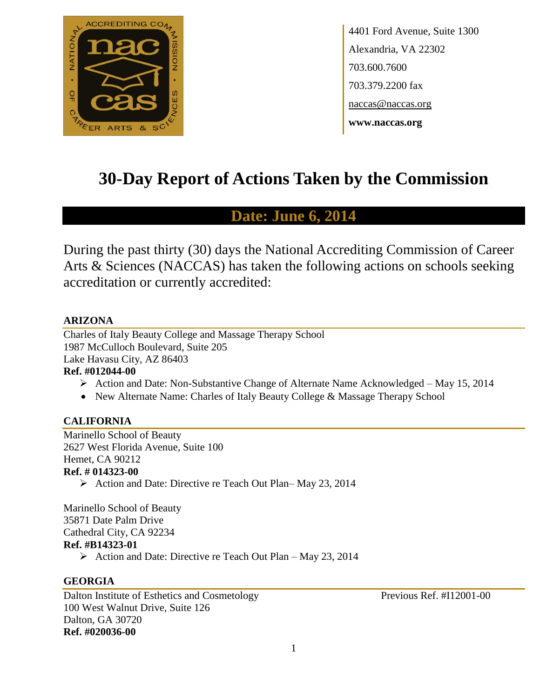

4401 Ford Avenue, Suite 1300 Alexandria, VA 22302 703.600.7600 703.379.2200 fax naccas@naccas.org **www.naccas.org**

# **30-Day Report of Actions Taken by the Commission**

# **Date: June 6, 2014**

During the past thirty (30) days the National Accrediting Commission of Career Arts & Sciences (NACCAS) has taken the following actions on schools seeking accreditation or currently accredited:

# **ARIZONA**

Charles of Italy Beauty College and Massage Therapy School 1987 McCulloch Boulevard, Suite 205 Lake Havasu City, AZ 86403 **Ref. #012044-00**

- Action and Date: Non-Substantive Change of Alternate Name Acknowledged May 15, 2014
- New Alternate Name: Charles of Italy Beauty College & Massage Therapy School

# **CALIFORNIA**

Marinello School of Beauty 2627 West Florida Avenue, Suite 100 Hemet, CA 90212 **Ref. # 014323-00**

Action and Date: Directive re Teach Out Plan–May 23, 2014

Marinello School of Beauty 35871 Date Palm Drive Cathedral City, CA 92234 **Ref. #B14323-01**

Action and Date: Directive re Teach Out Plan – May 23, 2014

# **GEORGIA**

Dalton Institute of Esthetics and Cosmetology Previous Ref. #I12001-00 100 West Walnut Drive, Suite 126 Dalton, GA 30720 **Ref. #020036-00**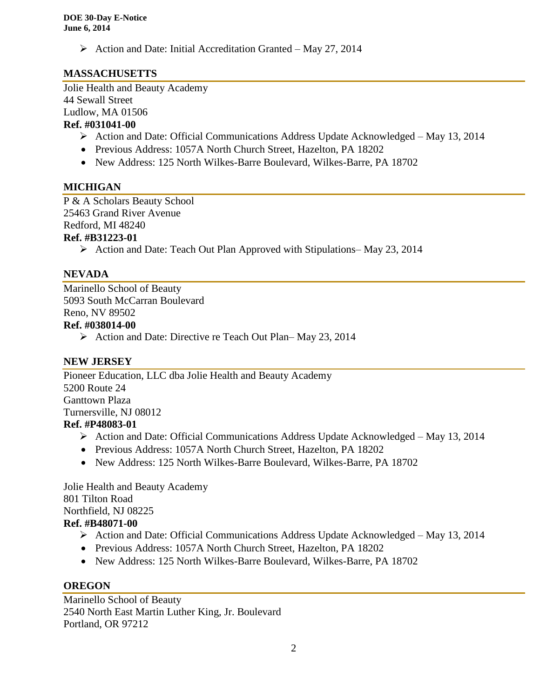$\triangleright$  Action and Date: Initial Accreditation Granted – May 27, 2014

# **MASSACHUSETTS**

Jolie Health and Beauty Academy 44 Sewall Street Ludlow, MA 01506 **Ref. #031041-00**

- Action and Date: Official Communications Address Update Acknowledged May 13, 2014
- Previous Address: 1057A North Church Street, Hazelton, PA 18202
- New Address: 125 North Wilkes-Barre Boulevard, Wilkes-Barre, PA 18702

# **MICHIGAN**

P & A Scholars Beauty School 25463 Grand River Avenue Redford, MI 48240

# **Ref. #B31223-01**

Action and Date: Teach Out Plan Approved with Stipulations– May 23, 2014

#### **NEVADA**

Marinello School of Beauty 5093 South McCarran Boulevard Reno, NV 89502

#### **Ref. #038014-00**

 $\triangleright$  Action and Date: Directive re Teach Out Plan– May 23, 2014

#### **NEW JERSEY**

Pioneer Education, LLC dba Jolie Health and Beauty Academy 5200 Route 24 Ganttown Plaza Turnersville, NJ 08012 **Ref. #P48083-01**

- Action and Date: Official Communications Address Update Acknowledged May 13, 2014
- Previous Address: 1057A North Church Street, Hazelton, PA 18202
- New Address: 125 North Wilkes-Barre Boulevard, Wilkes-Barre, PA 18702

Jolie Health and Beauty Academy 801 Tilton Road Northfield, NJ 08225 **Ref. #B48071-00**

- Action and Date: Official Communications Address Update Acknowledged May 13, 2014
- Previous Address: 1057A North Church Street, Hazelton, PA 18202
- New Address: 125 North Wilkes-Barre Boulevard, Wilkes-Barre, PA 18702

#### **OREGON**

Marinello School of Beauty 2540 North East Martin Luther King, Jr. Boulevard Portland, OR 97212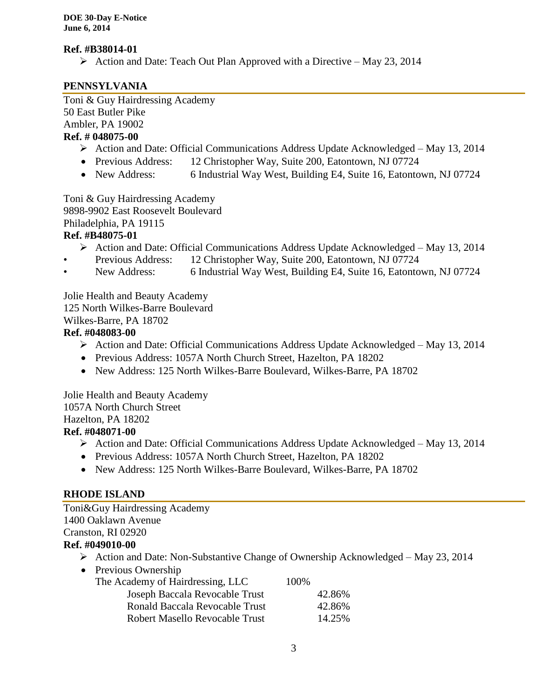#### **Ref. #B38014-01**

 $\triangleright$  Action and Date: Teach Out Plan Approved with a Directive – May 23, 2014

# **PENNSYLVANIA**

Toni & Guy Hairdressing Academy 50 East Butler Pike Ambler, PA 19002

# **Ref. # 048075-00**

- Action and Date: Official Communications Address Update Acknowledged May 13, 2014
- Previous Address: 12 Christopher Way, Suite 200, Eatontown, NJ 07724
- New Address: 6 Industrial Way West, Building E4, Suite 16, Eatontown, NJ 07724

Toni & Guy Hairdressing Academy

9898-9902 East Roosevelt Boulevard

Philadelphia, PA 19115

# **Ref. #B48075-01**

- Action and Date: Official Communications Address Update Acknowledged May 13, 2014
- Previous Address: 12 Christopher Way, Suite 200, Eatontown, NJ 07724
- New Address: 6 Industrial Way West, Building E4, Suite 16, Eatontown, NJ 07724

Jolie Health and Beauty Academy 125 North Wilkes-Barre Boulevard

Wilkes-Barre, PA 18702

# **Ref. #048083-00**

- Action and Date: Official Communications Address Update Acknowledged May 13, 2014
- Previous Address: 1057A North Church Street, Hazelton, PA 18202
- New Address: 125 North Wilkes-Barre Boulevard, Wilkes-Barre, PA 18702

Jolie Health and Beauty Academy 1057A North Church Street Hazelton, PA 18202 **Ref. #048071-00**

- Action and Date: Official Communications Address Update Acknowledged May 13, 2014
- Previous Address: 1057A North Church Street, Hazelton, PA 18202
- New Address: 125 North Wilkes-Barre Boulevard, Wilkes-Barre, PA 18702

# **RHODE ISLAND**

Toni&Guy Hairdressing Academy 1400 Oaklawn Avenue Cranston, RI 02920

# **Ref. #049010-00**

- $\triangleright$  Action and Date: Non-Substantive Change of Ownership Acknowledged May 23, 2014
- Previous Ownership The Academy of Hairdressing, LLC 100% Joseph Baccala Revocable Trust 42.86% Ronald Baccala Revocable Trust 42.86% Robert Masello Revocable Trust 14.25%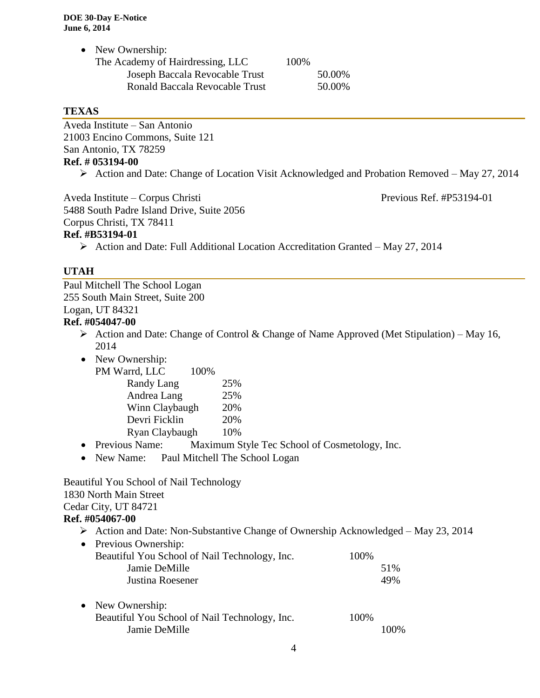| • New Ownership:                 |      |        |
|----------------------------------|------|--------|
| The Academy of Hairdressing, LLC | 100% |        |
| Joseph Baccala Revocable Trust   |      | 50.00% |
| Ronald Baccala Revocable Trust   |      | 50.00% |
|                                  |      |        |

#### **TEXAS**

Aveda Institute – San Antonio 21003 Encino Commons, Suite 121 San Antonio, TX 78259 **Ref. # 053194-00**

Action and Date: Change of Location Visit Acknowledged and Probation Removed – May 27, 2014

Aveda Institute – Corpus Christi Previous Ref. #P53194-01

5488 South Padre Island Drive, Suite 2056 Corpus Christi, TX 78411 **Ref. #B53194-01**

 $\triangleright$  Action and Date: Full Additional Location Accreditation Granted – May 27, 2014

#### **UTAH**

Paul Mitchell The School Logan 255 South Main Street, Suite 200 Logan, UT 84321

# **Ref. #054047-00**

- Action and Date: Change of Control & Change of Name Approved (Met Stipulation) May 16, 2014
- New Ownership:

| PM Warrd, LLC<br>100% |     |
|-----------------------|-----|
| Randy Lang            | 25% |
| Andrea Lang           | 25% |
| Winn Claybaugh        | 20% |
| Devri Ficklin         | 20% |
| Ryan Claybaugh        | 10% |

- Previous Name: Maximum Style Tec School of Cosmetology, Inc.
- New Name: Paul Mitchell The School Logan

#### Beautiful You School of Nail Technology 1830 North Main Street Cedar City, UT 84721 **Ref. #054067-00**

- $\triangleright$  Action and Date: Non-Substantive Change of Ownership Acknowledged May 23, 2014
- Previous Ownership: Beautiful You School of Nail Technology, Inc. 100% Jamie DeMille 51% Justina Roesener 49%
- New Ownership: Beautiful You School of Nail Technology, Inc. 100% Jamie DeMille 100%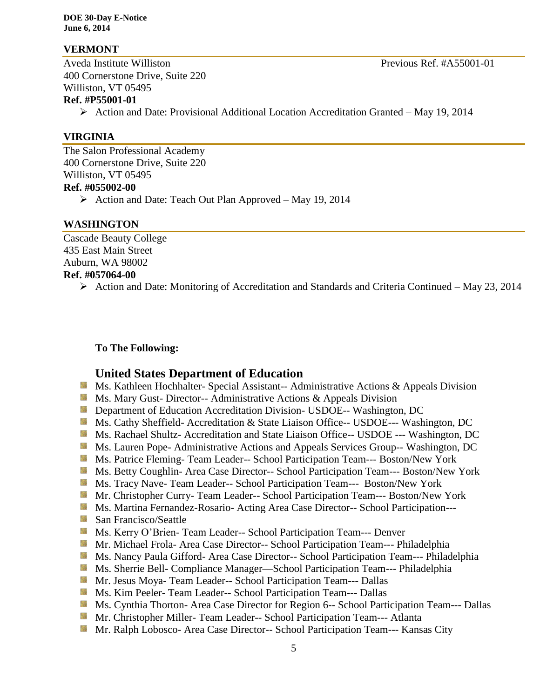**DOE 30-Day E-Notice June 6, 2014**

#### **VERMONT**

Aveda Institute Williston **Previous Ref.** #A55001-01 400 Cornerstone Drive, Suite 220 Williston, VT 05495

#### **Ref. #P55001-01**

Action and Date: Provisional Additional Location Accreditation Granted – May 19, 2014

#### **VIRGINIA**

The Salon Professional Academy 400 Cornerstone Drive, Suite 220 Williston, VT 05495 **Ref. #055002-00**  $\triangleright$  Action and Date: Teach Out Plan Approved – May 19, 2014

#### **WASHINGTON**

Cascade Beauty College 435 East Main Street Auburn, WA 98002 **Ref. #057064-00**

Action and Date: Monitoring of Accreditation and Standards and Criteria Continued – May 23, 2014

#### **To The Following:**

#### **United States Department of Education**

- **Ms. Kathleen Hochhalter- Special Assistant-- Administrative Actions & Appeals Division**
- **Ms. Mary Gust- Director-- Administrative Actions & Appeals Division**
- **Department of Education Accreditation Division- USDOE-- Washington, DC**
- Ms. Cathy Sheffield- Accreditation & State Liaison Office-- USDOE--- Washington, DC
- Ms. Rachael Shultz- Accreditation and State Liaison Office-- USDOE --- Washington, DC
- **Ms. Lauren Pope- Administrative Actions and Appeals Services Group-- Washington, DC**
- Ms. Patrice Fleming- Team Leader-- School Participation Team--- Boston/New York
- **MS. Betty Coughlin- Area Case Director-- School Participation Team--- Boston/New York**
- Ms. Tracy Nave- Team Leader-- School Participation Team--- Boston/New York
- Mr. Christopher Curry- Team Leader-- School Participation Team--- Boston/New York
- Ms. Martina Fernandez-Rosario- Acting Area Case Director-- School Participation---
- San Francisco/Seattle
- Ms. Kerry O'Brien- Team Leader-- School Participation Team--- Denver
- **Mr. Michael Frola- Area Case Director-- School Participation Team--- Philadelphia**
- Ms. Nancy Paula Gifford- Area Case Director-- School Participation Team--- Philadelphia
- Ms. Sherrie Bell- Compliance Manager—School Participation Team--- Philadelphia
- Mr. Jesus Moya- Team Leader-- School Participation Team--- Dallas
- Ms. Kim Peeler- Team Leader-- School Participation Team--- Dallas
- Ms. Cynthia Thorton- Area Case Director for Region 6-- School Participation Team--- Dallas
- **Mr. Christopher Miller-Team Leader-- School Participation Team--- Atlanta**
- **Mr. Ralph Lobosco- Area Case Director-- School Participation Team--- Kansas City**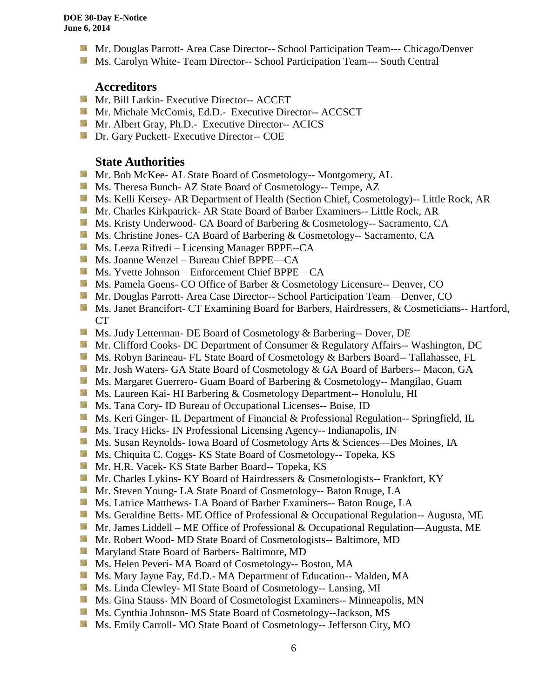- **Mr. Douglas Parrott- Area Case Director-- School Participation Team--- Chicago/Denver**
- **MS. Carolyn White-Team Director-- School Participation Team--- South Central**

#### **Accreditors**

- **Mr. Bill Larkin- Executive Director-- ACCET**
- Mr. Michale McComis, Ed.D.- Executive Director-- ACCSCT
- **Mr.** Albert Gray, Ph.D.- Executive Director-- ACICS
- **Dr.** Gary Puckett- Executive Director-- COE

#### **State Authorities**

- **Mr. Bob McKee- AL State Board of Cosmetology-- Montgomery, AL**
- Ms. Theresa Bunch- AZ State Board of Cosmetology-- Tempe, AZ
- Ms. Kelli Kersey- AR Department of Health (Section Chief, Cosmetology)-- Little Rock, AR
- Mr. Charles Kirkpatrick- AR State Board of Barber Examiners-- Little Rock, AR
- Ms. Kristy Underwood- CA Board of Barbering & Cosmetology-- Sacramento, CA
- **Ms.** Christine Jones- CA Board of Barbering & Cosmetology-- Sacramento, CA
- Ms. Leeza Rifredi Licensing Manager BPPE--CA
- Ms. Joanne Wenzel Bureau Chief BPPE—CA
- $M$  Ms. Yvette Johnson Enforcement Chief BPPE CA
- Ms. Pamela Goens- CO Office of Barber & Cosmetology Licensure-- Denver, CO
- **Mr. Douglas Parrott- Area Case Director-- School Participation Team—Denver, CO**
- Ms. Janet Brancifort- CT Examining Board for Barbers, Hairdressers, & Cosmeticians-- Hartford, CT
- Ms. Judy Letterman- DE Board of Cosmetology & Barbering-- Dover, DE
- **Mr. Clifford Cooks- DC Department of Consumer & Regulatory Affairs-- Washington, DC**
- **Ms. Robyn Barineau- FL State Board of Cosmetology & Barbers Board-- Tallahassee, FL**
- Mr. Josh Waters- GA State Board of Cosmetology & GA Board of Barbers-- Macon, GA
- **Ms. Margaret Guerrero- Guam Board of Barbering & Cosmetology-- Mangilao, Guam**
- **Ms. Laureen Kai- HI Barbering & Cosmetology Department-- Honolulu, HI**
- **Ms.** Tana Cory- ID Bureau of Occupational Licenses-- Boise, ID
- **Ms. Keri Ginger- IL Department of Financial & Professional Regulation-- Springfield, IL**
- **MS.** Tracy Hicks- IN Professional Licensing Agency-- Indianapolis, IN
- Ms. Susan Reynolds- Iowa Board of Cosmetology Arts & Sciences—Des Moines, IA
- **Ms.** Chiquita C. Coggs- KS State Board of Cosmetology-- Topeka, KS
- Mr. H.R. Vacek- KS State Barber Board-- Topeka, KS
- **Mr. Charles Lykins- KY Board of Hairdressers & Cosmetologists-- Frankfort, KY**
- Mr. Steven Young- LA State Board of Cosmetology-- Baton Rouge, LA
- **Ms. Latrice Matthews- LA Board of Barber Examiners-- Baton Rouge, LA**
- **Ms. Geraldine Betts- ME Office of Professional & Occupational Regulation-- Augusta, ME**
- Mr. James Liddell ME Office of Professional & Occupational Regulation—Augusta, ME
- Mr. Robert Wood- MD State Board of Cosmetologists-- Baltimore, MD
- **Maryland State Board of Barbers- Baltimore, MD**
- **MS. Helen Peveri- MA Board of Cosmetology-- Boston, MA**
- Ms. Mary Jayne Fay, Ed.D.- MA Department of Education-- Malden, MA
- **Ms.** Linda Clewley- MI State Board of Cosmetology-- Lansing, MI
- Ms. Gina Stauss- MN Board of Cosmetologist Examiners-- Minneapolis, MN
- Ms. Cynthia Johnson- MS State Board of Cosmetology--Jackson, MS
- Ms. Emily Carroll- MO State Board of Cosmetology-- Jefferson City, MO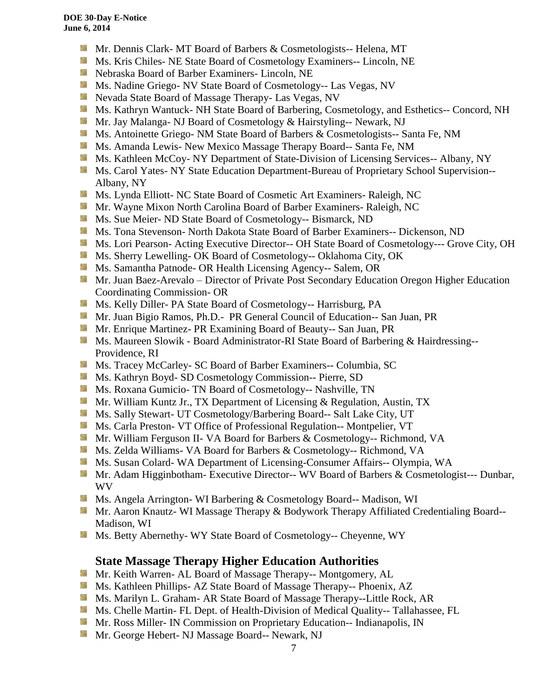- Mr. Dennis Clark- MT Board of Barbers & Cosmetologists-- Helena, MT
- Ms. Kris Chiles- NE State Board of Cosmetology Examiners-- Lincoln, NE
- Nebraska Board of Barber Examiners- Lincoln, NE
- **Ms. Nadine Griego- NV State Board of Cosmetology-- Las Vegas, NV**
- Nevada State Board of Massage Therapy- Las Vegas, NV
- **Ms. Kathryn Wantuck- NH State Board of Barbering, Cosmetology, and Esthetics-- Concord, NH**
- **Mr. Jay Malanga- NJ Board of Cosmetology & Hairstyling-- Newark, NJ**
- Ms. Antoinette Griego- NM State Board of Barbers & Cosmetologists-- Santa Fe, NM
- **MS.** Amanda Lewis- New Mexico Massage Therapy Board-- Santa Fe, NM
- Ms. Kathleen McCoy- NY Department of State-Division of Licensing Services-- Albany, NY
- **Ms. Carol Yates- NY State Education Department-Bureau of Proprietary School Supervision--**Albany, NY
- **Ms. Lynda Elliott- NC State Board of Cosmetic Art Examiners- Raleigh, NC**
- **Mr. Wayne Mixon North Carolina Board of Barber Examiners- Raleigh, NC**
- **Ms.** Sue Meier- ND State Board of Cosmetology-- Bismarck, ND
- **Ms. Tona Stevenson- North Dakota State Board of Barber Examiners-- Dickenson, ND**
- **Ms. Lori Pearson- Acting Executive Director-- OH State Board of Cosmetology--- Grove City, OH**
- Ms. Sherry Lewelling- OK Board of Cosmetology-- Oklahoma City, OK
- **Ms. Samantha Patnode- OR Health Licensing Agency-- Salem, OR**
- Mr. Juan Baez-Arevalo Director of Private Post Secondary Education Oregon Higher Education Coordinating Commission- OR
- **Ms. Kelly Diller- PA State Board of Cosmetology-- Harrisburg, PA**
- Mr. Juan Bigio Ramos, Ph.D.- PR General Council of Education-- San Juan, PR
- Mr. Enrique Martinez- PR Examining Board of Beauty-- San Juan, PR
- Ms. Maureen Slowik Board Administrator-RI State Board of Barbering & Hairdressing--Providence, RI
- Ms. Tracey McCarley- SC Board of Barber Examiners-- Columbia, SC
- **Ms. Kathryn Boyd- SD Cosmetology Commission-- Pierre, SD**
- **Ms. Roxana Gumicio- TN Board of Cosmetology-- Nashville, TN**
- **Mr. William Kuntz Jr., TX Department of Licensing & Regulation, Austin, TX**
- **Ms. Sally Stewart- UT Cosmetology/Barbering Board-- Salt Lake City, UT**
- Ms. Carla Preston- VT Office of Professional Regulation-- Montpelier, VT
- Mr. William Ferguson II- VA Board for Barbers & Cosmetology-- Richmond, VA
- Ms. Zelda Williams- VA Board for Barbers & Cosmetology-- Richmond, VA
- **Ms. Susan Colard- WA Department of Licensing-Consumer Affairs-- Olympia, WA**
- Mr. Adam Higginbotham- Executive Director-- WV Board of Barbers & Cosmetologist--- Dunbar, WV
- Ms. Angela Arrington- WI Barbering & Cosmetology Board-- Madison, WI
- **Mr. Aaron Knautz- WI Massage Therapy & Bodywork Therapy Affiliated Credentialing Board--**Madison, WI
- Sila Ms. Betty Abernethy- WY State Board of Cosmetology-- Cheyenne, WY

# **State Massage Therapy Higher Education Authorities**

- **Mr. Keith Warren- AL Board of Massage Therapy-- Montgomery, AL**
- Ms. Kathleen Phillips- AZ State Board of Massage Therapy-- Phoenix, AZ
- **M.** Ms. Marilyn L. Graham- AR State Board of Massage Therapy--Little Rock, AR
- Ms. Chelle Martin- FL Dept. of Health-Division of Medical Quality-- Tallahassee, FL
- **Mr. Ross Miller- IN Commission on Proprietary Education-- Indianapolis, IN**
- **Mr.** George Hebert- NJ Massage Board-- Newark, NJ